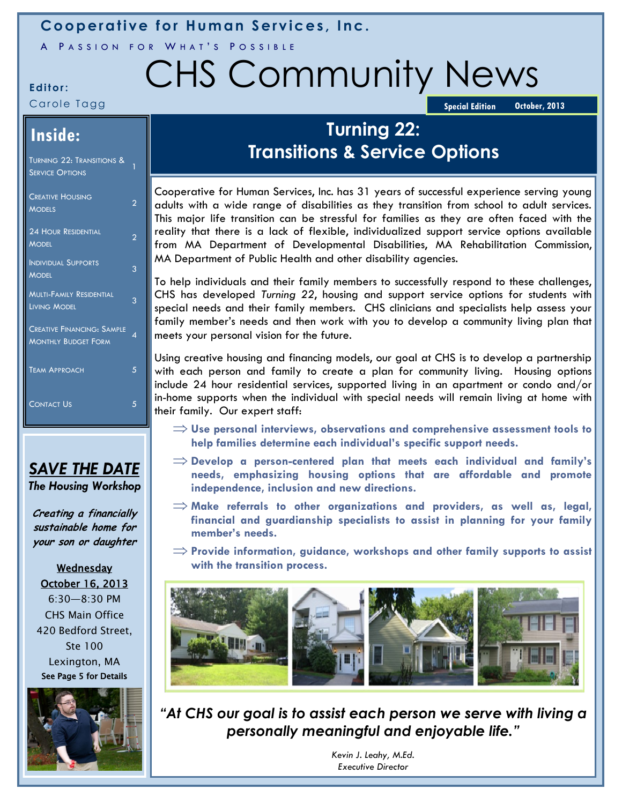## **Cooperative for Human Services, Inc.**

A PASSION FOR WHAT'S POSSIBLE

# Editor: CHS Community News

### Carole Tagg

**October, 2013 Special Edition** 

## **Inside:**

| <u>Turning 22: Transitions &amp; </u><br><b>SERVICE OPTIONS</b> | 1 |
|-----------------------------------------------------------------|---|
| <b>CREATIVE HOUSING</b><br><b>MODELS</b>                        | 2 |
| <b>24 HOUR RESIDENTIAL</b><br><b>MODEL</b>                      | っ |
| <b>INDIVIDUAL SUPPORTS</b><br><b>MODEL</b>                      | 3 |
| <b>MULTI-FAMILY RESIDENTIAL</b><br><b>LIVING MODEL</b>          | 3 |
| <b>CREATIVE FINANCING: SAMPLE</b><br><b>MONTHLY BUDGET FORM</b> | ⊿ |
| <b>TEAM APPROACH</b>                                            | 5 |
| <b>CONTACT US</b>                                               | 5 |

## *SAVE THE DATE The Housing Workshop*

**Creating a financially sustainable home for your son or daughter**

Wednesday October 16, 2013 6:30—8:30 PM CHS Main Office 420 Bedford Street, Ste 100 Lexington, MA See Page 5 for Details



## **Turning 22: Transitions & Service Options**

Cooperative for Human Services, Inc. has 31 years of successful experience serving young adults with a wide range of disabilities as they transition from school to adult services. This major life transition can be stressful for families as they are often faced with the reality that there is a lack of flexible, individualized support service options available from MA Department of Developmental Disabilities, MA Rehabilitation Commission, MA Department of Public Health and other disability agencies.

To help individuals and their family members to successfully respond to these challenges, CHS has developed *Turning 22*, housing and support service options for students with special needs and their family members. CHS clinicians and specialists help assess your family member's needs and then work with you to develop a community living plan that meets your personal vision for the future.

Using creative housing and financing models, our goal at CHS is to develop a partnership with each person and family to create a plan for community living. Housing options include 24 hour residential services, supported living in an apartment or condo and/or in-home supports when the individual with special needs will remain living at home with their family. Our expert staff:

- **Use personal interviews, observations and comprehensive assessment tools to help families determine each individual's specific support needs.**
- **Develop a person-centered plan that meets each individual and family's needs, emphasizing housing options that are affordable and promote independence, inclusion and new directions.**
- **Make referrals to other organizations and providers, as well as, legal, financial and guardianship specialists to assist in planning for your family member's needs.**
- **Provide information, guidance, workshops and other family supports to assist with the transition process.**



*"At CHS our goal is to assist each person we serve with living a personally meaningful and enjoyable life."*

> *Kevin J. Leahy, M.Ed. Executive Director*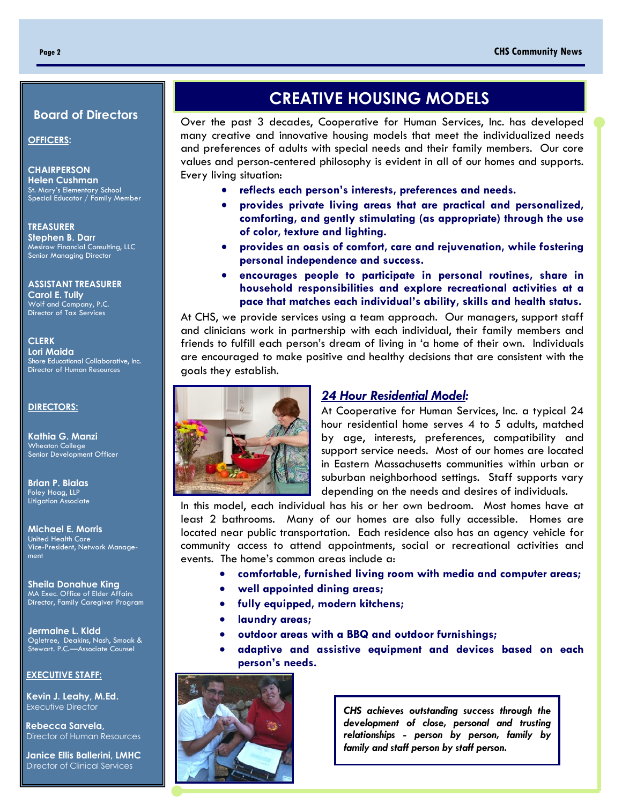#### **Board of Directors**

**OFFICERS:**

**CHAIRPERSON Helen Cushman** St. Mary's Elementary School Special Educator / Family Member

**TREASURER Stephen B. Darr** Mesirow Financial Consulting, LLC Senior Managing Director

**ASSISTANT TREASURER Carol E. Tully** Wolf and Company, P.C. Director of Tax Services

#### **CLERK Lori Maida** Shore Educational Collaborative, Inc. Director of Human Resources

#### **DIRECTORS:**

**Kathia G. Manzi**  Wheaton College Senior Development Officer

**Brian P. Bialas** Foley Hoag, LLP Litigation Associate

**Michael E. Morris** United Health Care Vice-President, Network Management

**Sheila Donahue King** MA Exec. Office of Elder Affairs Director, Family Caregiver Program

**Jermaine L. Kidd** Ogletree, Deakins, Nash, Smoak & Stewart. P.C.—Associate Counsel

#### **EXECUTIVE STAFF:**

I

 **Kevin J. Leahy, M.Ed. Executive Director** 

 **Rebecca Sarvela,** Director of Human Resources

 **Janice Ellis Ballerini, LMHC** Director of Clinical Services

## **CREATIVE HOUSING MODELS**

Over the past 3 decades, Cooperative for Human Services, Inc. has developed many creative and innovative housing models that meet the individualized needs and preferences of adults with special needs and their family members. Our core values and person-centered philosophy is evident in all of our homes and supports. Every living situation:

- **reflects each person's interests, preferences and needs.**
- **provides private living areas that are practical and personalized, comforting, and gently stimulating (as appropriate) through the use of color, texture and lighting.**
- **provides an oasis of comfort, care and rejuvenation, while fostering personal independence and success.**
- **encourages people to participate in personal routines, share in household responsibilities and explore recreational activities at a pace that matches each individual's ability, skills and health status.**

At CHS, we provide services using a team approach. Our managers, support staff and clinicians work in partnership with each individual, their family members and friends to fulfill each person's dream of living in 'a home of their own. Individuals are encouraged to make positive and healthy decisions that are consistent with the goals they establish.



#### *24 Hour Residential Model:*

At Cooperative for Human Services, Inc. a typical 24 hour residential home serves 4 to 5 adults, matched by age, interests, preferences, compatibility and support service needs. Most of our homes are located in Eastern Massachusetts communities within urban or suburban neighborhood settings. Staff supports vary depending on the needs and desires of individuals.

In this model, each individual has his or her own bedroom. Most homes have at least 2 bathrooms. Many of our homes are also fully accessible. Homes are located near public transportation. Each residence also has an agency vehicle for community access to attend appointments, social or recreational activities and events. The home's common areas include a:

- **comfortable, furnished living room with media and computer areas;**
- **well appointed dining areas;**
- **fully equipped, modern kitchens;**
- **laundry areas;**
- **outdoor areas with a BBQ and outdoor furnishings;**
- **adaptive and assistive equipment and devices based on each person's needs.**



*CHS achieves outstanding success through the development of close, personal and trusting relationships - person by person, family by family and staff person by staff person.*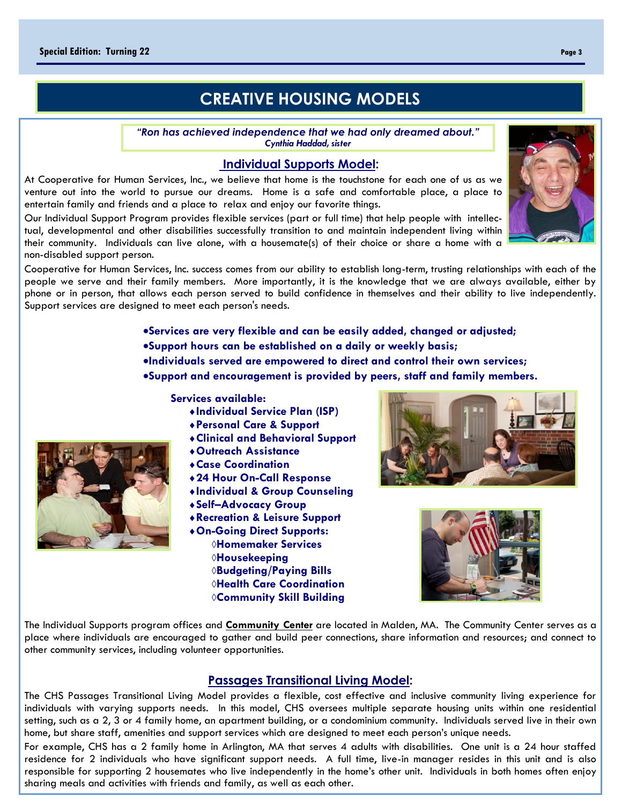## **CREATIVE HOUSING MODELS**

*"Ron has achieved independence that we had only dreamed about." Cynthia Haddad, sister*

#### **Individual Supports Model:**

At Cooperative for Human Services, Inc., we believe that home is the touchstone for each one of us as we venture out into the world to pursue our dreams. Home is a safe and comfortable place, a place to entertain family and friends and a place to relax and enjoy our favorite things.

Our Individual Support Program provides flexible services (part or full time) that help people with intellectual, developmental and other disabilities successfully transition to and maintain independent living within their community. Individuals can live alone, with a housemate(s) of their choice or share a home with a non-disabled support person.

Cooperative for Human Services, Inc. success comes from our ability to establish long-term, trusting relationships with each of the people we serve and their family members. More importantly, it is the knowledge that we are always available, either by phone or in person, that allows each person served to build confidence in themselves and their ability to live independently. Support services are designed to meet each person's needs.

> **Services are very flexible and can be easily added, changed or adjusted; Support hours can be established on a daily or weekly basis; Individuals served are empowered to direct and control their own services;**

**Support and encouragement is provided by peers, staff and family members.**

#### **Services available:**

- **Individual Service Plan (ISP)**
- **Personal Care & Support**
- **Clinical and Behavioral Support**
- **Outreach Assistance**
- **Case Coordination**
- **24 Hour On-Call Response**
- **Individual & Group Counseling**
- **Self–Advocacy Group**
- **Recreation & Leisure Support**
- **On-Going Direct Supports: Homemaker Services Housekeeping Budgeting/Paying Bills Health Care Coordination Community Skill Building**



#### **Passages Transitional Living Model:**

The CHS Passages Transitional Living Model provides a flexible, cost effective and inclusive community living experience for individuals with varying supports needs. In this model, CHS oversees multiple separate housing units within one residential setting, such as a 2, 3 or 4 family home, an apartment building, or a condominium community. Individuals served live in their own home, but share staff, amenities and support services which are designed to meet each person's unique needs.

For example, CHS has a 2 family home in Arlington, MA that serves 4 adults with disabilities. One unit is a 24 hour staffed residence for 2 individuals who have significant support needs. A full time, live-in manager resides in this unit and is also responsible for supporting 2 housemates who live independently in the home's other unit. Individuals in both homes often enjoy sharing meals and activities with friends and family, as well as each other.







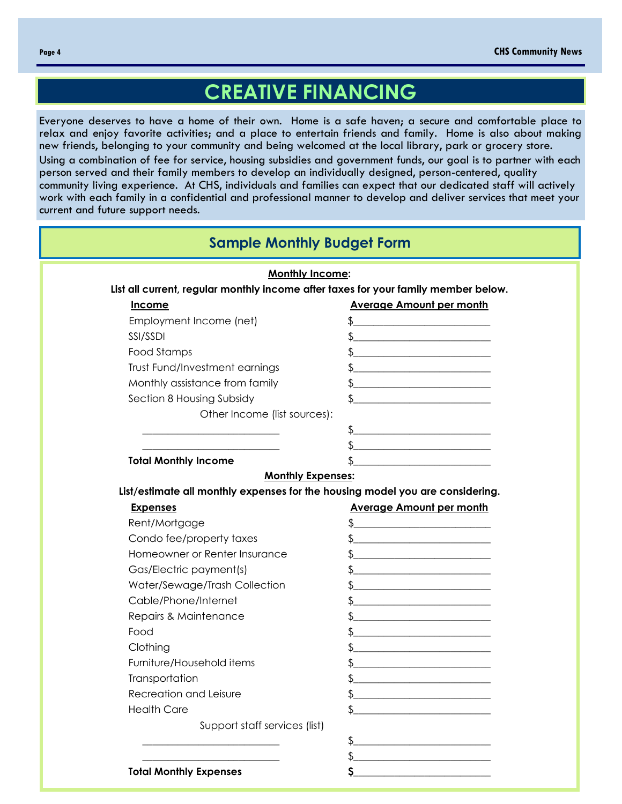# **CREATIVE FINANCING**

Everyone deserves to have a home of their own. Home is a safe haven; a secure and comfortable place to relax and enjoy favorite activities; and a place to entertain friends and family. Home is also about making new friends, belonging to your community and being welcomed at the local library, park or grocery store.

Using a combination of fee for service, housing subsidies and government funds, our goal is to partner with each person served and their family members to develop an individually designed, person-centered, quality community living experience. At CHS, individuals and families can expect that our dedicated staff will actively work with each family in a confidential and professional manner to develop and deliver services that meet your current and future support needs.

| <b>Sample Monthly Budget Form</b>                                                  |                                                                                                                                                                                                                               |  |  |  |
|------------------------------------------------------------------------------------|-------------------------------------------------------------------------------------------------------------------------------------------------------------------------------------------------------------------------------|--|--|--|
| <b>Monthly Income:</b>                                                             |                                                                                                                                                                                                                               |  |  |  |
| List all current, regular monthly income after taxes for your family member below. |                                                                                                                                                                                                                               |  |  |  |
| <b>Income</b>                                                                      | <b>Average Amount per month</b>                                                                                                                                                                                               |  |  |  |
| Employment Income (net)                                                            |                                                                                                                                                                                                                               |  |  |  |
| SSI/SSDI                                                                           | <u> 1980 - Jan James James Barnett, fransk politik (d. 1980)</u>                                                                                                                                                              |  |  |  |
| Food Stamps                                                                        |                                                                                                                                                                                                                               |  |  |  |
| Trust Fund/Investment earnings                                                     |                                                                                                                                                                                                                               |  |  |  |
| Monthly assistance from family                                                     | <u> 1989 - Johann Barbara, martxa al III-lea (h. 1989).</u>                                                                                                                                                                   |  |  |  |
| Section 8 Housing Subsidy                                                          |                                                                                                                                                                                                                               |  |  |  |
| Other Income (list sources):                                                       |                                                                                                                                                                                                                               |  |  |  |
|                                                                                    | \$_<br><u> 1980 - Johann Barn, mars ann an t-Amhain Aonaich an t-Aonaich an t-Aonaich ann an t-Aonaich ann an t-Aonaich</u>                                                                                                   |  |  |  |
|                                                                                    | <u> 1980 - Johann Barn, amerikan besteman besteman besteman besteman besteman besteman besteman besteman besteman</u>                                                                                                         |  |  |  |
| <b>Total Monthly Income</b>                                                        |                                                                                                                                                                                                                               |  |  |  |
| <b>Monthly Expenses:</b>                                                           |                                                                                                                                                                                                                               |  |  |  |
| List/estimate all monthly expenses for the housing model you are considering.      |                                                                                                                                                                                                                               |  |  |  |
| <b>Expenses</b>                                                                    | <b>Average Amount per month</b>                                                                                                                                                                                               |  |  |  |
| Rent/Mortgage                                                                      | \$<br><u> La componenta de la componenta de la componenta de la componenta de la componenta de la componenta de la comp</u>                                                                                                   |  |  |  |
| Condo fee/property taxes                                                           | the control of the control of the control of the control of the control of the control of the control of the control of the control of the control of the control of the control of the control of the control of the control |  |  |  |
| Homeowner or Renter Insurance                                                      |                                                                                                                                                                                                                               |  |  |  |
| Gas/Electric payment(s)                                                            |                                                                                                                                                                                                                               |  |  |  |
| Water/Sewage/Trash Collection                                                      |                                                                                                                                                                                                                               |  |  |  |
| Cable/Phone/Internet                                                               |                                                                                                                                                                                                                               |  |  |  |
| Repairs & Maintenance                                                              |                                                                                                                                                                                                                               |  |  |  |
| Food                                                                               |                                                                                                                                                                                                                               |  |  |  |
| Clothing                                                                           |                                                                                                                                                                                                                               |  |  |  |
| Furniture/Household items                                                          |                                                                                                                                                                                                                               |  |  |  |
| Transportation                                                                     | \$.                                                                                                                                                                                                                           |  |  |  |
| Recreation and Leisure                                                             |                                                                                                                                                                                                                               |  |  |  |
| <b>Health Care</b>                                                                 |                                                                                                                                                                                                                               |  |  |  |
| Support staff services (list)                                                      |                                                                                                                                                                                                                               |  |  |  |
|                                                                                    | \$                                                                                                                                                                                                                            |  |  |  |
|                                                                                    |                                                                                                                                                                                                                               |  |  |  |
| <b>Total Monthly Expenses</b>                                                      |                                                                                                                                                                                                                               |  |  |  |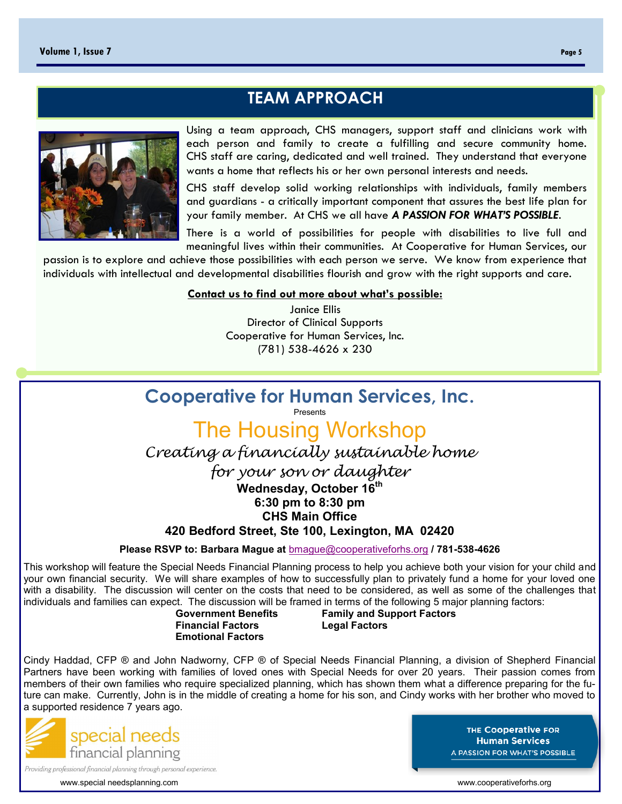## **TEAM APPROACH**



Using a team approach, CHS managers, support staff and clinicians work with each person and family to create a fulfilling and secure community home. CHS staff are caring, dedicated and well trained. They understand that everyone wants a home that reflects his or her own personal interests and needs.

CHS staff develop solid working relationships with individuals, family members and guardians - a critically important component that assures the best life plan for your family member. At CHS we all have *A PASSION FOR WHAT'S POSSIBLE*.

There is a world of possibilities for people with disabilities to live full and meaningful lives within their communities. At Cooperative for Human Services, our

passion is to explore and achieve those possibilities with each person we serve. We know from experience that individuals with intellectual and developmental disabilities flourish and grow with the right supports and care.

#### **Contact us to find out more about what's possible:**

Janice Ellis Director of Clinical Supports Cooperative for Human Services, Inc. (781) 538-4626 x 230

## **Cooperative for Human Services, Inc.**

Presents

The Housing Workshop *Creating a financially sustainable home* 

*for your son or daughter*

**Wednesday, October 16th**

**6:30 pm to 8:30 pm**

**CHS Main Office**

**420 Bedford Street, Ste 100, Lexington, MA 02420**

**Please RSVP to: Barbara Mague at** [bmague@cooperativeforhs.org](mailto:bmague@cooperativeforhs.org) **/ 781-538-4626**

This workshop will feature the Special Needs Financial Planning process to help you achieve both your vision for your child and your own financial security. We will share examples of how to successfully plan to privately fund a home for your loved one with a disability. The discussion will center on the costs that need to be considered, as well as some of the challenges that individuals and families can expect. The discussion will be framed in terms of the following 5 major planning factors:

**Emotional Factors**

 **Government Benefits Family and Support Factors Legal Factors** 

Cindy Haddad, CFP ® and John Nadworny, CFP ® of Special Needs Financial Planning, a division of Shepherd Financial Partners have been working with families of loved ones with Special Needs for over 20 years. Their passion comes from members of their own families who require specialized planning, which has shown them what a difference preparing for the future can make. Currently, John is in the middle of creating a home for his son, and Cindy works with her brother who moved to a supported residence 7 years ago.



THE Cooperative FOR **Human Services A PASSION FOR WHAT'S POSSIBLE** 

www.special needsplanning.com example and the state of the state of the state of the state of the state of the state of the state of the state of the state of the state of the state of the state of the state of the state o